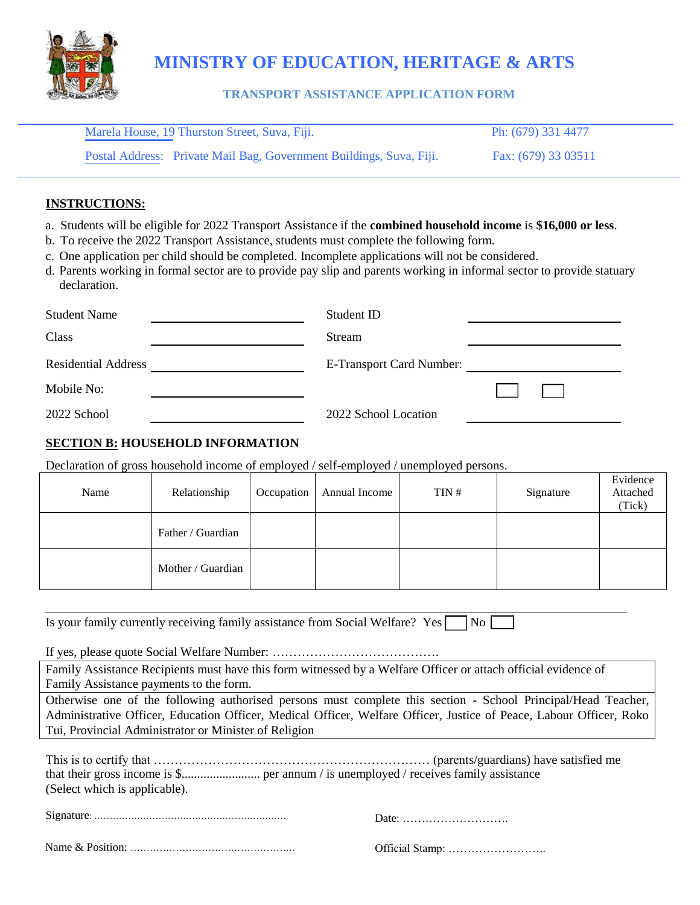

# **MINISTRY OF EDUCATION, HERITAGE & ARTS**

## **TRANSPORT ASSISTANCE APPLICATION FORM**

| Marela House, 19 Thurston Street, Suva, Fiji.                       | Ph: (679) 331 4477  |
|---------------------------------------------------------------------|---------------------|
| Postal Address: Private Mail Bag, Government Buildings, Suva, Fiji. | Fax: (679) 33 03511 |

#### **INSTRUCTIONS:**

- a. Students will be eligible for 2022 Transport Assistance if the **combined household income** is **\$16,000 or less**.
- b. To receive the 2022 Transport Assistance, students must complete the following form.
- c. One application per child should be completed. Incomplete applications will not be considered.
- d. Parents working in formal sector are to provide pay slip and parents working in informal sector to provide statuary declaration.

| <b>Student Name</b>        | Student ID                      |  |
|----------------------------|---------------------------------|--|
| Class                      | Stream                          |  |
| <b>Residential Address</b> | <b>E-Transport Card Number:</b> |  |
| Mobile No:                 |                                 |  |
| 2022 School                | 2022 School Location            |  |

## **SECTION B: HOUSEHOLD INFORMATION**

Declaration of gross household income of employed / self-employed / unemployed persons.

| Name | Relationship      | Occupation | Annual Income | TIN# | Signature | Evidence<br>Attached<br>(Tick) |
|------|-------------------|------------|---------------|------|-----------|--------------------------------|
|      | Father / Guardian |            |               |      |           |                                |
|      | Mother / Guardian |            |               |      |           |                                |

| Is your family currently receiving family assistance from Social Welfare? Yes No |  |  |  |
|----------------------------------------------------------------------------------|--|--|--|
|----------------------------------------------------------------------------------|--|--|--|

If yes, please quote Social Welfare Number: ………………………………….

Family Assistance Recipients must have this form witnessed by a Welfare Officer or attach official evidence of Family Assistance payments to the form.

Otherwise one of the following authorised persons must complete this section - School Principal/Head Teacher, Administrative Officer, Education Officer, Medical Officer, Welfare Officer, Justice of Peace, Labour Officer, Roko Tui, Provincial Administrator or Minister of Religion

| (Select which is applicable). |  |
|-------------------------------|--|

|  | )ate: |
|--|-------|
|  |       |